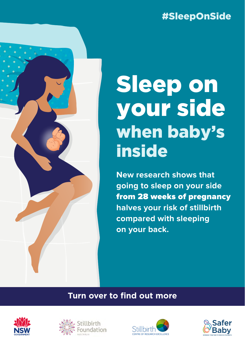## #SleepOnSide

# Sleep on your side when baby's inside

**New research shows that going to sleep on your side**  from 28 weeks of pregnancy **halves your risk of stillbirth compared with sleeping on your back.**

#### **Turn over to find out more**